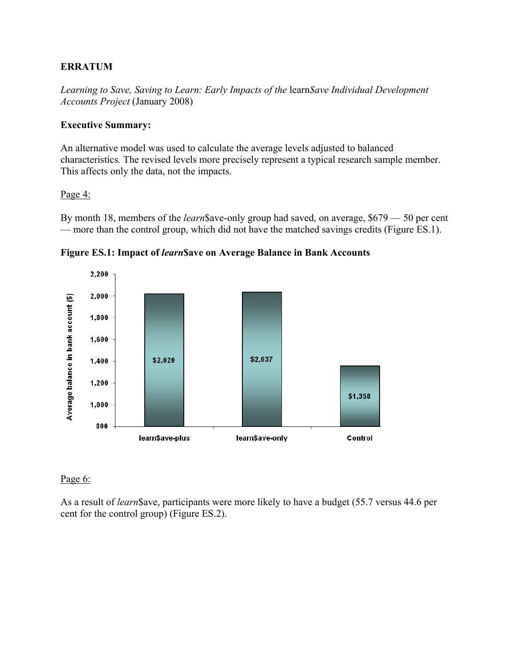#### **ERRATUM**

*Learning to Save, Saving to Learn: Early Impacts of the* learn*\$ave Individual Development Accounts Project* (January 2008)

#### **Executive Summary:**

An alternative model was used to calculate the average levels adjusted to balanced characteristics*.* The revised levels more precisely represent a typical research sample member. This affects only the data, not the impacts.

#### Page 4:

By month 18, members of the *learn*\$ave-only group had saved, on average, \$679 — 50 per cent — more than the control group, which did not have the matched savings credits (Figure ES.1).





#### Page 6:

As a result of *learn*\$ave, participants were more likely to have a budget (55.7 versus 44.6 per cent for the control group) (Figure ES.2).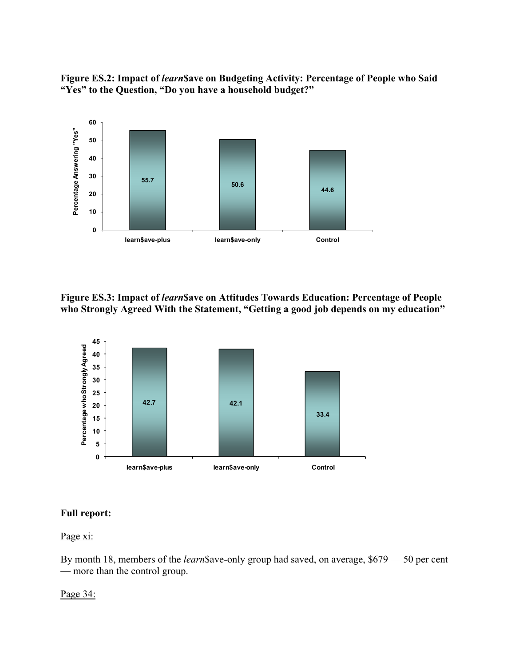**Figure ES.2: Impact of** *learn***\$ave on Budgeting Activity: Percentage of People who Said "Yes" to the Question, "Do you have a household budget?"** 



**Figure ES.3: Impact of** *learn***\$ave on Attitudes Towards Education: Percentage of People who Strongly Agreed With the Statement, "Getting a good job depends on my education"** 



#### **Full report:**

#### Page xi:

By month 18, members of the *learn*\$ave-only group had saved, on average, \$679 — 50 per cent — more than the control group.

#### Page 34: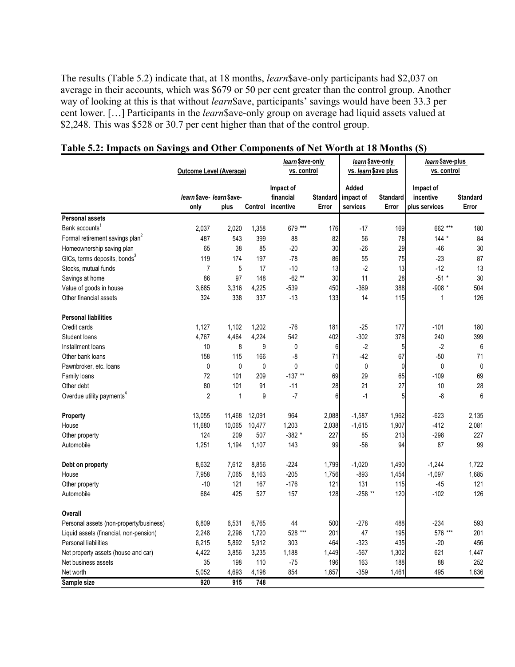The results (Table 5.2) indicate that, at 18 months, *learn*\$ave-only participants had \$2,037 on average in their accounts, which was \$679 or 50 per cent greater than the control group. Another way of looking at this is that without *learn*\$ave, participants' savings would have been 33.3 per cent lower. […] Participants in the *learn*\$ave-only group on average had liquid assets valued at \$2,248. This was \$528 or 30.7 per cent higher than that of the control group.

|                                             | <b>Outcome Level (Average)</b>    |              |         | learn \$ave-only<br>vs. control     |                          | <i>learn</i> \$ave-only<br>vs. learn \$ave plus |                          | learn \$ave-plus<br>vs. control         |                          |
|---------------------------------------------|-----------------------------------|--------------|---------|-------------------------------------|--------------------------|-------------------------------------------------|--------------------------|-----------------------------------------|--------------------------|
|                                             | learn \$ave- learn \$ave-<br>only | plus         | Control | Impact of<br>financial<br>incentive | <b>Standard</b><br>Error | Added<br>impact of<br>services                  | <b>Standard</b><br>Error | Impact of<br>incentive<br>plus services | <b>Standard</b><br>Error |
| <b>Personal assets</b>                      |                                   |              |         |                                     |                          |                                                 |                          |                                         |                          |
| Bank accounts <sup>1</sup>                  | 2,037                             | 2,020        | 1,358   | 679 ***                             | 176                      | $-17$                                           | 169                      | 662 ***                                 | 180                      |
| Formal retirement savings plan <sup>2</sup> | 487                               | 543          | 399     | 88                                  | 82                       | 56                                              | 78                       | $144 *$                                 | 84                       |
| Homeownership saving plan                   | 65                                | 38           | 85      | $-20$                               | 30                       | $-26$                                           | 29                       | $-46$                                   | 30                       |
| GICs, terms deposits, bonds <sup>3</sup>    | 119                               | 174          | 197     | $-78$                               | 86                       | 55                                              | 75                       | $-23$                                   | 87                       |
| Stocks, mutual funds                        | $\overline{7}$                    | 5            | 17      | $-10$                               | 13                       | $-2$                                            | 13                       | $-12$                                   | 13                       |
| Savings at home                             | 86                                | 97           | 148     | $-62**$                             | 30                       | 11                                              | 28                       | $-51$ *                                 | 30                       |
| Value of goods in house                     | 3,685                             | 3,316        | 4,225   | -539                                | 450                      | $-369$                                          | 388                      | $-908$ *                                | 504                      |
| Other financial assets                      | 324                               | 338          | 337     | $-13$                               | 133                      | 14                                              | 115                      | 1                                       | 126                      |
| <b>Personal liabilities</b>                 |                                   |              |         |                                     |                          |                                                 |                          |                                         |                          |
| Credit cards                                | 1,127                             | 1,102        | 1,202   | -76                                 | 181                      | $-25$                                           | 177                      | $-101$                                  | 180                      |
| Student loans                               | 4,767                             | 4,464        | 4,224   | 542                                 | 402                      | $-302$                                          | 378                      | 240                                     | 399                      |
| Installment loans                           | 10                                | 8            | 9       | 0                                   | 6                        | $-2$                                            | 5 <sup>1</sup>           | $-2$                                    | 6                        |
| Other bank loans                            | 158                               | 115          | 166     | -8                                  | 71                       | $-42$                                           | 67                       | $-50$                                   | 71                       |
| Pawnbroker, etc. loans                      | 0                                 | 0            | 0       | 0                                   | $\mathbf{0}$             | 0                                               | $\overline{0}$           | 0                                       | $\mathbf 0$              |
| Family loans                                | 72                                | 101          | 209     | $-137**$                            | 69                       | 29                                              | 65                       | $-109$                                  | 69                       |
| Other debt                                  | 80                                | 101          | 91      | $-11$                               | 28                       | 21                                              | 27                       | 10                                      | 28                       |
| Overdue utility payments <sup>4</sup>       | $\overline{2}$                    | $\mathbf{1}$ | 9       | $-7$                                | 6                        | $-1$                                            | 5 <sup>1</sup>           | -8                                      | 6                        |
| <b>Property</b>                             | 13,055                            | 11,468       | 12,091  | 964                                 | 2,088                    | $-1,587$                                        | 1,962                    | $-623$                                  | 2,135                    |
| House                                       | 11,680                            | 10,065       | 10,477  | 1,203                               | 2,038                    | $-1,615$                                        | 1,907                    | $-412$                                  | 2,081                    |
| Other property                              | 124                               | 209          | 507     | $-382*$                             | 227                      | 85                                              | 213                      | $-298$                                  | 227                      |
| Automobile                                  | 1,251                             | 1,194        | 1,107   | 143                                 | 99                       | $-56$                                           | 94                       | 87                                      | 99                       |
| Debt on property                            | 8,632                             | 7,612        | 8,856   | $-224$                              | 1,799                    | $-1,020$                                        | 1,490                    | $-1,244$                                | 1,722                    |
| House                                       | 7,958                             | 7,065        | 8,163   | $-205$                              | 1,756                    | $-893$                                          | 1,454                    | $-1,097$                                | 1,685                    |
| Other property                              | $-10$                             | 121          | 167     | $-176$                              | 121                      | 131                                             | 115                      | $-45$                                   | 121                      |
| Automobile                                  | 684                               | 425          | 527     | 157                                 | 128                      | $-258$ **                                       | 120                      | $-102$                                  | 126                      |
| Overall                                     |                                   |              |         |                                     |                          |                                                 |                          |                                         |                          |
| Personal assets (non-property/business)     | 6,809                             | 6,531        | 6,765   | 44                                  | 500                      | $-278$                                          | 488                      | $-234$                                  | 593                      |
| Liquid assets (financial, non-pension)      | 2,248                             | 2,296        | 1,720   | 528 ***                             | 201                      | 47                                              | 195                      | 576 ***                                 | 201                      |
| Personal liabilities                        | 6,215                             | 5,892        | 5,912   | 303                                 | 464                      | $-323$                                          | 435                      | $-20$                                   | 456                      |
| Net property assets (house and car)         | 4,422                             | 3,856        | 3,235   | 1,188                               | 1,449                    | $-567$                                          | 1,302                    | 621                                     | 1,447                    |
| Net business assets                         | 35                                | 198          | 110     | -75                                 | 196                      | 163                                             | 188                      | 88                                      | 252                      |
| Net worth                                   | 5,052                             | 4,693        | 4,198   | 854                                 | 1,657                    | $-359$                                          | 1,461                    | 495                                     | 1,636                    |
| Sample size                                 | 920                               | 915          | 748     |                                     |                          |                                                 |                          |                                         |                          |

#### **Table 5.2: Impacts on Savings and Other Components of Net Worth at 18 Months (\$)**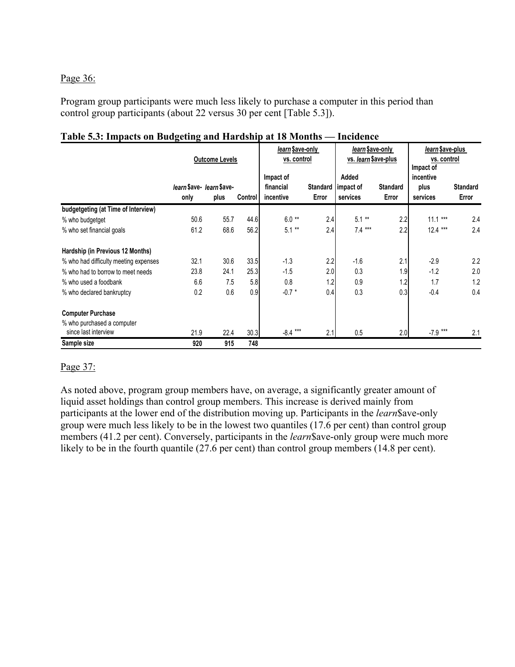Page 36:

Program group participants were much less likely to purchase a computer in this period than control group participants (about 22 versus 30 per cent [Table 5.3]).

|                                       | <b>Outcome Levels</b>    |      |                        | learn \$ave-only<br>vs. control |                    | learn \$ave-only<br>vs. learn \$ave-plus |       | learn \$ave-plus<br>vs. control<br>Impact of<br>incentive |       |
|---------------------------------------|--------------------------|------|------------------------|---------------------------------|--------------------|------------------------------------------|-------|-----------------------------------------------------------|-------|
|                                       | learn \$ave-learn \$ave- |      | Impact of<br>financial | <b>Standard</b>                 | Added<br>impact of | <b>Standard</b>                          | plus  | <b>Standard</b>                                           |       |
|                                       | only                     | plus | <b>Control</b>         | incentive                       | Error              | services                                 | Error | services                                                  | Error |
| budgetgeting (at Time of Interview)   |                          |      |                        |                                 |                    |                                          |       |                                                           |       |
| % who budgetget                       | 50.6                     | 55.7 | 44.6                   | $6.0**$                         | 2.4                | $**$<br>5.1                              | 2.2   | ***<br>11.1                                               | 2.4   |
| % who set financial goals             | 61.2                     | 68.6 | 56.2                   | $5.1***$                        | 2.4                | $7.4***$                                 | 2.2   | $12.4***$                                                 | 2.4   |
| Hardship (in Previous 12 Months)      |                          |      |                        |                                 |                    |                                          |       |                                                           |       |
| % who had difficulty meeting expenses | 32.1                     | 30.6 | 33.5                   | $-1.3$                          | 2.2                | $-1.6$                                   | 2.1   | $-2.9$                                                    | 2.2   |
| % who had to borrow to meet needs     | 23.8                     | 24.1 | 25.3                   | $-1.5$                          | 2.0                | 0.3                                      | 1.9   | $-1.2$                                                    | 2.0   |
| % who used a foodbank                 | 6.6                      | 7.5  | 5.8                    | 0.8                             | 1.2                | 0.9                                      | 1.2   | 1.7                                                       | 1.2   |
| % who declared bankruptcy             | 0.2                      | 0.6  | 0.9                    | $-0.7 *$                        | 0.4                | 0.3                                      | 0.3   | $-0.4$                                                    | 0.4   |
| <b>Computer Purchase</b>              |                          |      |                        |                                 |                    |                                          |       |                                                           |       |
| % who purchased a computer            |                          |      |                        |                                 |                    |                                          |       |                                                           |       |
| since last interview                  | 21.9                     | 22.4 | 30.3                   | $***$<br>$-8.4$                 | 2.1                | 0.5                                      | 2.0   | $-7.9$ ***                                                | 2.1   |
| Sample size                           | 920                      | 915  | 748                    |                                 |                    |                                          |       |                                                           |       |

#### **Table 5.3: Impacts on Budgeting and Hardship at 18 Months — Incidence**

#### Page 37:

As noted above, program group members have, on average, a significantly greater amount of liquid asset holdings than control group members. This increase is derived mainly from participants at the lower end of the distribution moving up. Participants in the *learn*\$ave-only group were much less likely to be in the lowest two quantiles (17.6 per cent) than control group members (41.2 per cent). Conversely, participants in the *learn* \$ ave-only group were much more likely to be in the fourth quantile (27.6 per cent) than control group members (14.8 per cent).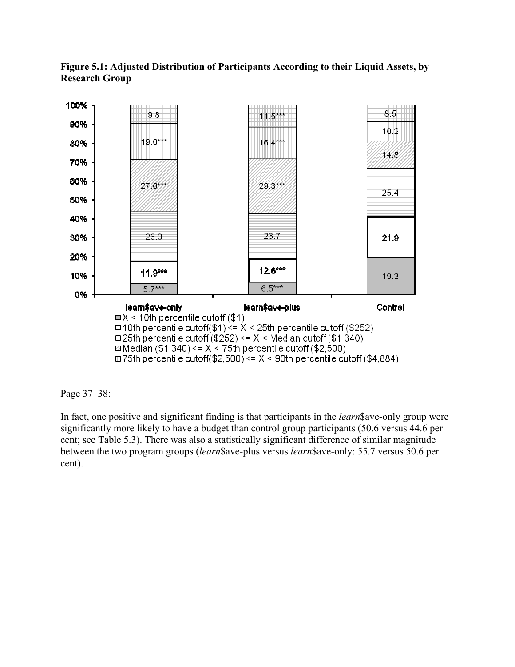



#### Page 37–38:

In fact, one positive and significant finding is that participants in the *learn*\$ave-only group were significantly more likely to have a budget than control group participants (50.6 versus 44.6 per cent; see Table 5.3). There was also a statistically significant difference of similar magnitude between the two program groups (*learn*\$ave-plus versus *learn*\$ave-only: 55.7 versus 50.6 per cent).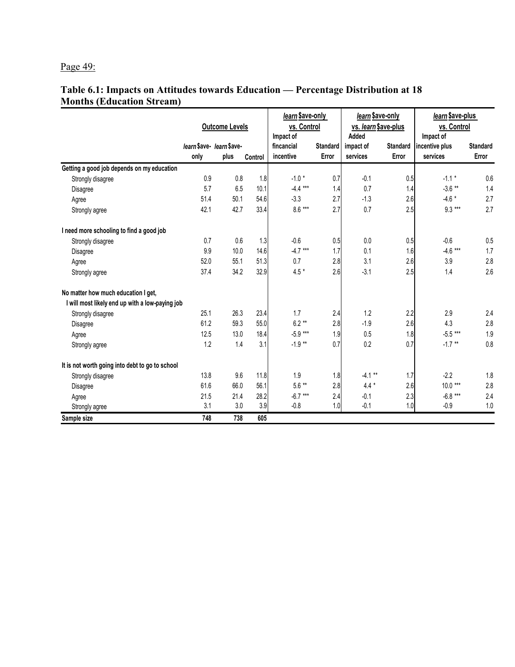## Page 49:

#### **Table 6.1: Impacts on Attitudes towards Education — Percentage Distribution at 18 Months (Education Stream)**

|                                                 | <b>Outcome Levels</b>     |      |         | learn \$ave-only<br>vs. Control<br>Impact of |                 | learn \$ave-only<br>vs. learn \$ave-plus<br>Added |                 | learn \$ave-plus<br>vs. Control<br>Impact of |                 |
|-------------------------------------------------|---------------------------|------|---------|----------------------------------------------|-----------------|---------------------------------------------------|-----------------|----------------------------------------------|-----------------|
|                                                 | learn \$ave- learn \$ave- |      |         | fincancial                                   | <b>Standard</b> | impact of                                         | <b>Standard</b> | incentive plus                               | <b>Standard</b> |
|                                                 | only                      | plus | Control | incentive                                    | Error           | services                                          | Error           | services                                     | Error           |
| Getting a good job depends on my education      |                           |      |         |                                              |                 |                                                   |                 |                                              |                 |
| Strongly disagree                               | 0.9                       | 0.8  | 1.8     | $-1.0*$                                      | 0.7             | $-0.1$                                            | 0.5             | $-1.1*$                                      | 0.6             |
| Disagree                                        | 5.7                       | 6.5  | 10.1    | $-4.4***$                                    | 1.4             | 0.7                                               | 1.4             | $-3.6$ **                                    | 1.4             |
| Agree                                           | 51.4                      | 50.1 | 54.6    | $-3.3$                                       | 2.7             | $-1.3$                                            | 2.6             | $-4.6*$                                      | 2.7             |
| Strongly agree                                  | 42.1                      | 42.7 | 33.4    | $8.6***$                                     | 2.7             | 0.7                                               | 2.5             | $9.3***$                                     | 2.7             |
| I need more schooling to find a good job        |                           |      |         |                                              |                 |                                                   |                 |                                              |                 |
| Strongly disagree                               | 0.7                       | 0.6  | 1.3     | $-0.6$                                       | 0.5             | 0.0                                               | 0.5             | $-0.6$                                       | 0.5             |
| Disagree                                        | 9.9                       | 10.0 | 14.6    | $-4.7***$                                    | 1.7             | 0.1                                               | 1.6             | $-4.6$ ***                                   | 1.7             |
| Agree                                           | 52.0                      | 55.1 | 51.3    | 0.7                                          | 2.8             | 3.1                                               | 2.6             | 3.9                                          | 2.8             |
| Strongly agree                                  | 37.4                      | 34.2 | 32.9    | $4.5*$                                       | 2.6             | $-3.1$                                            | 2.5             | 1.4                                          | 2.6             |
| No matter how much education I get,             |                           |      |         |                                              |                 |                                                   |                 |                                              |                 |
| I will most likely end up with a low-paying job |                           |      |         |                                              |                 |                                                   |                 |                                              |                 |
| Strongly disagree                               | 25.1                      | 26.3 | 23.4    | 1.7                                          | 2.4             | 1.2                                               | 2.2             | 2.9                                          | 2.4             |
| Disagree                                        | 61.2                      | 59.3 | 55.0    | $6.2**$                                      | 2.8             | $-1.9$                                            | 2.6             | 4.3                                          | 2.8             |
| Agree                                           | 12.5                      | 13.0 | 18.4    | $-5.9***$                                    | 1.9             | 0.5                                               | 1.8             | $-5.5***$                                    | 1.9             |
| Strongly agree                                  | 1.2                       | 1.4  | 3.1     | $-1.9**$                                     | 0.7             | 0.2                                               | 0.7             | $-1.7$ **                                    | 0.8             |
| It is not worth going into debt to go to school |                           |      |         |                                              |                 |                                                   |                 |                                              |                 |
| Strongly disagree                               | 13.8                      | 9.6  | 11.8    | 1.9                                          | 1.8             | $-4.1$ **                                         | 1.7             | $-2.2$                                       | 1.8             |
| Disagree                                        | 61.6                      | 66.0 | 56.1    | $5.6**$                                      | 2.8             | $4.4 *$                                           | 2.6             | $10.0***$                                    | 2.8             |
| Agree                                           | 21.5                      | 21.4 | 28.2    | $-6.7***$                                    | 2.4             | $-0.1$                                            | 2.3             | $-6.8***$                                    | 2.4             |
| Strongly agree                                  | 3.1                       | 3.0  | 3.9     | $-0.8$                                       | 1.0             | $-0.1$                                            | 1.0             | $-0.9$                                       | 1.0             |
| Sample size                                     | 748                       | 738  | 605     |                                              |                 |                                                   |                 |                                              |                 |